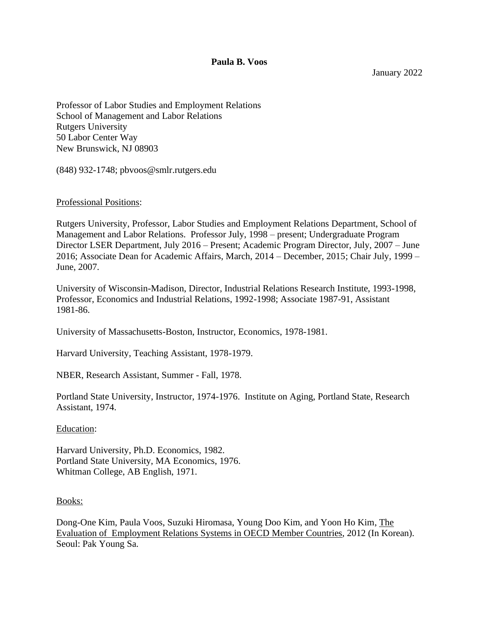**Paula B. Voos**

January 2022

Professor of Labor Studies and Employment Relations School of Management and Labor Relations Rutgers University 50 Labor Center Way New Brunswick, NJ 08903

(848) 932-1748; pbvoos@smlr.rutgers.edu

### Professional Positions:

Rutgers University, Professor, Labor Studies and Employment Relations Department, School of Management and Labor Relations. Professor July, 1998 – present; Undergraduate Program Director LSER Department, July 2016 – Present; Academic Program Director, July, 2007 – June 2016; Associate Dean for Academic Affairs, March, 2014 – December, 2015; Chair July, 1999 – June, 2007.

University of Wisconsin-Madison, Director, Industrial Relations Research Institute, 1993-1998, Professor, Economics and Industrial Relations, 1992-1998; Associate 1987-91, Assistant 1981-86.

University of Massachusetts-Boston, Instructor, Economics, 1978-1981.

Harvard University, Teaching Assistant, 1978-1979.

NBER, Research Assistant, Summer - Fall, 1978.

Portland State University, Instructor, 1974-1976. Institute on Aging, Portland State, Research Assistant, 1974.

#### Education:

Harvard University, Ph.D. Economics, 1982. Portland State University, MA Economics, 1976. Whitman College, AB English, 1971.

#### Books:

Dong-One Kim, Paula Voos, Suzuki Hiromasa, Young Doo Kim, and Yoon Ho Kim, The Evaluation of Employment Relations Systems in OECD Member Countries, 2012 (In Korean). Seoul: Pak Young Sa.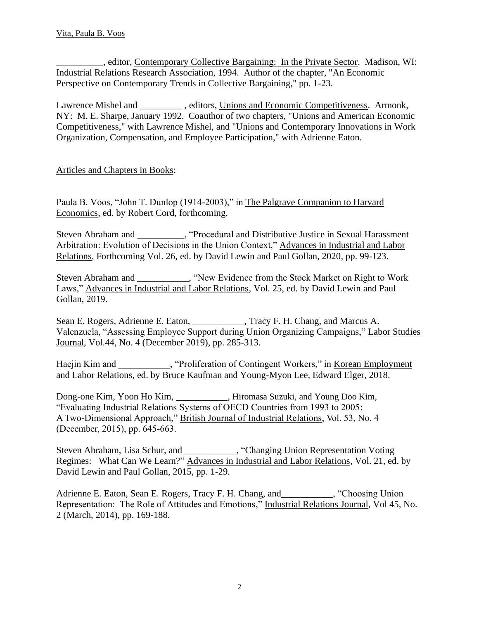\_\_\_\_\_\_\_\_\_\_, editor, Contemporary Collective Bargaining: In the Private Sector. Madison, WI: Industrial Relations Research Association, 1994. Author of the chapter, "An Economic Perspective on Contemporary Trends in Collective Bargaining," pp. 1-23.

Lawrence Mishel and \_\_\_\_\_\_\_\_\_\_, editors, Unions and Economic Competitiveness. Armonk, NY: M. E. Sharpe, January 1992. Coauthor of two chapters, "Unions and American Economic Competitiveness," with Lawrence Mishel, and "Unions and Contemporary Innovations in Work Organization, Compensation, and Employee Participation," with Adrienne Eaton.

# Articles and Chapters in Books:

Paula B. Voos, "John T. Dunlop (1914-2003)," in The Palgrave Companion to Harvard Economics, ed. by Robert Cord, forthcoming.

Steven Abraham and \_\_\_\_\_\_\_\_\_\_, "Procedural and Distributive Justice in Sexual Harassment Arbitration: Evolution of Decisions in the Union Context," Advances in Industrial and Labor Relations, Forthcoming Vol. 26, ed. by David Lewin and Paul Gollan, 2020, pp. 99-123.

Steven Abraham and The Stock Market on Right to Work Laws," Advances in Industrial and Labor Relations, Vol. 25, ed. by David Lewin and Paul Gollan, 2019.

Sean E. Rogers, Adrienne E. Eaton, Tracy F. H. Chang, and Marcus A. Valenzuela, "Assessing Employee Support during Union Organizing Campaigns," Labor Studies Journal, Vol.44, No. 4 (December 2019), pp. 285-313.

Haejin Kim and Theorem Stephen Stephen in Stephen Stephen Kim and Stephen Stephen Stephen Stephen Stephen Stephen Stephen Stephen Stephen Stephen Stephen Stephen Stephen Stephen Stephen Stephen Stephen Stephen Stephen Step and Labor Relations, ed. by Bruce Kaufman and Young-Myon Lee, Edward Elger, 2018.

Dong-one Kim, Yoon Ho Kim, \_\_\_\_\_\_\_\_\_\_\_, Hiromasa Suzuki, and Young Doo Kim, "Evaluating Industrial Relations Systems of OECD Countries from 1993 to 2005: A Two-Dimensional Approach," British Journal of Industrial Relations, Vol. 53, No. 4 (December, 2015), pp. 645-663.

Steven Abraham, Lisa Schur, and \_\_\_\_\_\_\_\_\_\_\_, "Changing Union Representation Voting Regimes: What Can We Learn?" Advances in Industrial and Labor Relations, Vol. 21, ed. by David Lewin and Paul Gollan, 2015, pp. 1-29.

Adrienne E. Eaton, Sean E. Rogers, Tracy F. H. Chang, and \_\_\_\_\_\_\_\_\_, "Choosing Union Representation: The Role of Attitudes and Emotions," Industrial Relations Journal, Vol 45, No. 2 (March, 2014), pp. 169-188.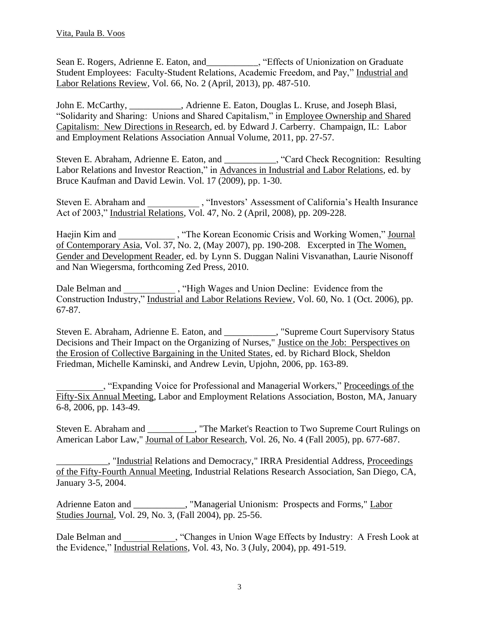Sean E. Rogers, Adrienne E. Eaton, and\_\_\_\_\_\_\_\_\_\_\_, "Effects of Unionization on Graduate Student Employees: Faculty-Student Relations, Academic Freedom, and Pay," Industrial and Labor Relations Review, Vol. 66, No. 2 (April, 2013), pp. 487-510.

John E. McCarthy, \_\_\_\_\_\_\_\_\_\_\_, Adrienne E. Eaton, Douglas L. Kruse, and Joseph Blasi, "Solidarity and Sharing: Unions and Shared Capitalism," in Employee Ownership and Shared Capitalism: New Directions in Research, ed. by Edward J. Carberry. Champaign, IL: Labor and Employment Relations Association Annual Volume, 2011, pp. 27-57.

Steven E. Abraham, Adrienne E. Eaton, and \_\_\_\_\_\_\_\_\_\_\_, "Card Check Recognition: Resulting Labor Relations and Investor Reaction," in Advances in Industrial and Labor Relations, ed. by Bruce Kaufman and David Lewin. Vol. 17 (2009), pp. 1-30.

Steven E. Abraham and  $\qquad \qquad$ , "Investors' Assessment of California's Health Insurance Act of 2003," Industrial Relations, Vol. 47, No. 2 (April, 2008), pp. 209-228.

Haejin Kim and \_\_\_\_\_\_\_\_\_\_\_\_\_, "The Korean Economic Crisis and Working Women," Journal of Contemporary Asia, Vol. 37, No. 2, (May 2007), pp. 190-208. Excerpted in The Women, Gender and Development Reader, ed. by Lynn S. Duggan Nalini Visvanathan, Laurie Nisonoff and Nan Wiegersma, forthcoming Zed Press, 2010.

Dale Belman and \_\_\_\_\_\_\_\_\_\_\_\_\_\_, "High Wages and Union Decline: Evidence from the Construction Industry," Industrial and Labor Relations Review, Vol. 60, No. 1 (Oct. 2006), pp. 67-87.

Steven E. Abraham, Adrienne E. Eaton, and \_\_\_\_\_\_\_\_\_\_\_, "Supreme Court Supervisory Status Decisions and Their Impact on the Organizing of Nurses," Justice on the Job: Perspectives on the Erosion of Collective Bargaining in the United States, ed. by Richard Block, Sheldon Friedman, Michelle Kaminski, and Andrew Levin, Upjohn, 2006, pp. 163-89.

, "Expanding Voice for Professional and Managerial Workers," Proceedings of the Fifty-Six Annual Meeting, Labor and Employment Relations Association, Boston, MA, January 6-8, 2006, pp. 143-49.

Steven E. Abraham and \_\_\_\_\_\_\_\_\_\_, "The Market's Reaction to Two Supreme Court Rulings on American Labor Law," Journal of Labor Research, Vol. 26, No. 4 (Fall 2005), pp. 677-687.

\_\_\_\_\_\_\_\_\_\_\_, "Industrial Relations and Democracy," IRRA Presidential Address, Proceedings of the Fifty-Fourth Annual Meeting, Industrial Relations Research Association, San Diego, CA, January 3-5, 2004.

Adrienne Eaton and \_\_\_\_\_\_\_\_\_\_\_, "Managerial Unionism: Prospects and Forms," Labor Studies Journal, Vol. 29, No. 3, (Fall 2004), pp. 25-56.

Dale Belman and  $\qquad$ , "Changes in Union Wage Effects by Industry: A Fresh Look at the Evidence," Industrial Relations, Vol. 43, No. 3 (July, 2004), pp. 491-519.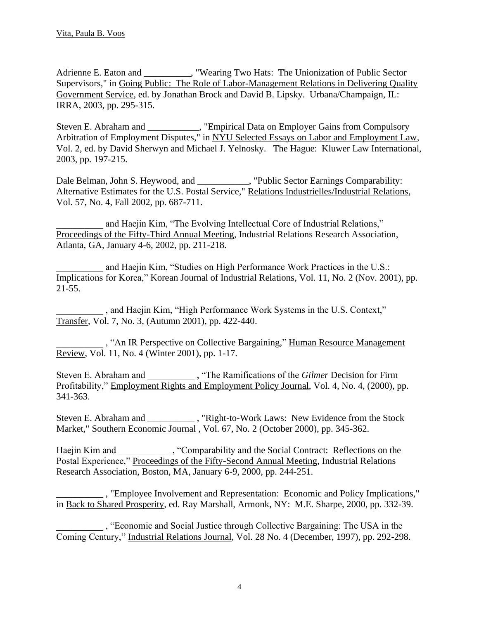Adrienne E. Eaton and \_\_\_\_\_\_\_\_\_, "Wearing Two Hats: The Unionization of Public Sector Supervisors," in Going Public: The Role of Labor-Management Relations in Delivering Quality Government Service, ed. by Jonathan Brock and David B. Lipsky. Urbana/Champaign, IL: IRRA, 2003, pp. 295-315.

Steven E. Abraham and \_\_\_\_\_\_\_\_\_\_\_, "Empirical Data on Employer Gains from Compulsory Arbitration of Employment Disputes," in NYU Selected Essays on Labor and Employment Law, Vol. 2, ed. by David Sherwyn and Michael J. Yelnosky. The Hague: Kluwer Law International, 2003, pp. 197-215.

Dale Belman, John S. Heywood, and \_\_\_\_\_\_\_\_\_, "Public Sector Earnings Comparability: Alternative Estimates for the U.S. Postal Service," Relations Industrielles/Industrial Relations, Vol. 57, No. 4, Fall 2002, pp. 687-711.

and Haejin Kim, "The Evolving Intellectual Core of Industrial Relations," Proceedings of the Fifty-Third Annual Meeting, Industrial Relations Research Association, Atlanta, GA, January 4-6, 2002, pp. 211-218.

and Haejin Kim, "Studies on High Performance Work Practices in the U.S.: Implications for Korea," Korean Journal of Industrial Relations, Vol. 11, No. 2 (Nov. 2001), pp. 21-55.

\_\_\_\_\_\_\_\_\_\_ , and Haejin Kim, "High Performance Work Systems in the U.S. Context," Transfer, Vol. 7, No. 3, (Autumn 2001), pp. 422-440.

, "An IR Perspective on Collective Bargaining," Human Resource Management Review, Vol. 11, No. 4 (Winter 2001), pp. 1-17.

Steven E. Abraham and \_\_\_\_\_\_\_\_\_\_ , "The Ramifications of the *Gilmer* Decision for Firm Profitability," Employment Rights and Employment Policy Journal, Vol. 4, No. 4, (2000), pp. 341-363.

Steven E. Abraham and Theorem Constraints and the Stock steven E. Abraham and the Stock studence from the Stock Market," Southern Economic Journal , Vol. 67, No. 2 (October 2000), pp. 345-362.

Haejin Kim and \_\_\_\_\_\_\_\_\_\_\_\_\_, "Comparability and the Social Contract: Reflections on the Postal Experience," Proceedings of the Fifty-Second Annual Meeting, Industrial Relations Research Association, Boston, MA, January 6-9, 2000, pp. 244-251.

\_\_\_\_\_\_\_\_\_\_ , "Employee Involvement and Representation: Economic and Policy Implications," in Back to Shared Prosperity, ed. Ray Marshall, Armonk, NY: M.E. Sharpe, 2000, pp. 332-39.

\_\_\_\_\_\_\_\_\_\_ , "Economic and Social Justice through Collective Bargaining: The USA in the Coming Century," Industrial Relations Journal, Vol. 28 No. 4 (December, 1997), pp. 292-298.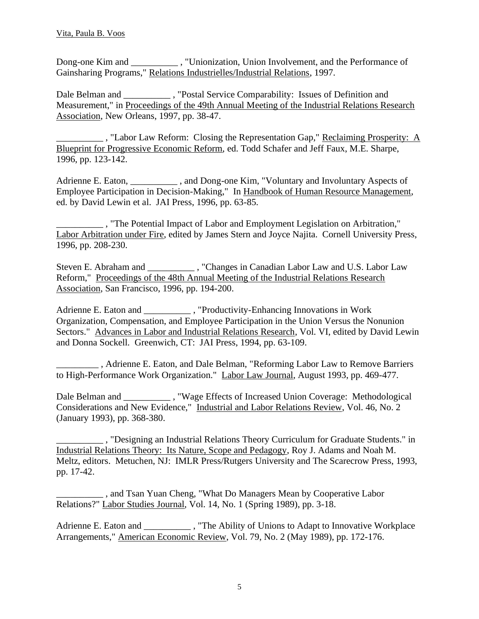Dong-one Kim and \_\_\_\_\_\_\_\_\_\_ , "Unionization, Union Involvement, and the Performance of Gainsharing Programs," Relations Industrielles/Industrial Relations, 1997.

Dale Belman and \_\_\_\_\_\_\_\_\_\_\_\_, "Postal Service Comparability: Issues of Definition and Measurement," in Proceedings of the 49th Annual Meeting of the Industrial Relations Research Association, New Orleans, 1997, pp. 38-47.

\_\_\_\_\_\_\_\_\_\_ , "Labor Law Reform: Closing the Representation Gap," Reclaiming Prosperity: A Blueprint for Progressive Economic Reform, ed. Todd Schafer and Jeff Faux, M.E. Sharpe, 1996, pp. 123-142.

Adrienne E. Eaton, and Dong-one Kim, "Voluntary and Involuntary Aspects of Employee Participation in Decision-Making," In Handbook of Human Resource Management, ed. by David Lewin et al. JAI Press, 1996, pp. 63-85.

\_\_\_\_\_\_\_\_\_\_ , "The Potential Impact of Labor and Employment Legislation on Arbitration," Labor Arbitration under Fire, edited by James Stern and Joyce Najita. Cornell University Press, 1996, pp. 208-230.

Steven E. Abraham and \_\_\_\_\_\_\_\_\_\_ , "Changes in Canadian Labor Law and U.S. Labor Law Reform," Proceedings of the 48th Annual Meeting of the Industrial Relations Research Association, San Francisco, 1996, pp. 194-200.

Adrienne E. Eaton and  $\qquad \qquad$ , "Productivity-Enhancing Innovations in Work Organization, Compensation, and Employee Participation in the Union Versus the Nonunion Sectors." Advances in Labor and Industrial Relations Research, Vol. VI, edited by David Lewin and Donna Sockell. Greenwich, CT: JAI Press, 1994, pp. 63-109.

\_\_\_\_\_\_\_\_\_ , Adrienne E. Eaton, and Dale Belman, "Reforming Labor Law to Remove Barriers to High-Performance Work Organization." Labor Law Journal, August 1993, pp. 469-477.

Dale Belman and \_\_\_\_\_\_\_\_\_\_\_\_\_\_ , "Wage Effects of Increased Union Coverage: Methodological Considerations and New Evidence," Industrial and Labor Relations Review, Vol. 46, No. 2 (January 1993), pp. 368-380.

\_\_\_\_\_\_\_\_\_\_ , "Designing an Industrial Relations Theory Curriculum for Graduate Students." in Industrial Relations Theory: Its Nature, Scope and Pedagogy, Roy J. Adams and Noah M. Meltz, editors. Metuchen, NJ: IMLR Press/Rutgers University and The Scarecrow Press, 1993, pp. 17-42.

\_\_\_\_\_\_\_\_\_\_ , and Tsan Yuan Cheng, "What Do Managers Mean by Cooperative Labor Relations?" Labor Studies Journal, Vol. 14, No. 1 (Spring 1989), pp. 3-18.

Adrienne E. Eaton and \_\_\_\_\_\_\_\_\_\_\_\_ , "The Ability of Unions to Adapt to Innovative Workplace Arrangements," American Economic Review, Vol. 79, No. 2 (May 1989), pp. 172-176.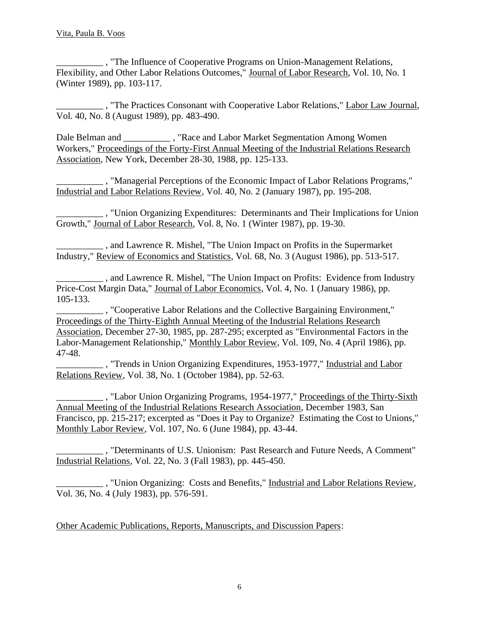\_\_\_\_\_\_\_\_\_\_ , "The Influence of Cooperative Programs on Union-Management Relations, Flexibility, and Other Labor Relations Outcomes," Journal of Labor Research, Vol. 10, No. 1 (Winter 1989), pp. 103-117.

\_\_\_\_\_\_\_\_\_\_ , "The Practices Consonant with Cooperative Labor Relations," Labor Law Journal, Vol. 40, No. 8 (August 1989), pp. 483-490.

Dale Belman and \_\_\_\_\_\_\_\_\_\_\_\_\_ , "Race and Labor Market Segmentation Among Women Workers," Proceedings of the Forty-First Annual Meeting of the Industrial Relations Research Association, New York, December 28-30, 1988, pp. 125-133.

\_\_\_\_\_\_\_\_\_\_ , "Managerial Perceptions of the Economic Impact of Labor Relations Programs," Industrial and Labor Relations Review, Vol. 40, No. 2 (January 1987), pp. 195-208.

\_\_\_\_\_\_\_\_\_\_ , "Union Organizing Expenditures: Determinants and Their Implications for Union Growth," Journal of Labor Research, Vol. 8, No. 1 (Winter 1987), pp. 19-30.

\_\_\_\_\_\_\_\_\_\_ , and Lawrence R. Mishel, "The Union Impact on Profits in the Supermarket Industry," Review of Economics and Statistics, Vol. 68, No. 3 (August 1986), pp. 513-517.

\_\_\_\_\_\_\_\_\_\_ , and Lawrence R. Mishel, "The Union Impact on Profits: Evidence from Industry Price-Cost Margin Data," Journal of Labor Economics, Vol. 4, No. 1 (January 1986), pp. 105-133.

\_\_\_\_\_\_\_\_\_\_ , "Cooperative Labor Relations and the Collective Bargaining Environment," Proceedings of the Thirty-Eighth Annual Meeting of the Industrial Relations Research Association, December 27-30, 1985, pp. 287-295; excerpted as "Environmental Factors in the Labor-Management Relationship," Monthly Labor Review, Vol. 109, No. 4 (April 1986), pp. 47-48.

 $\Box$ , "Trends in Union Organizing Expenditures, 1953-1977," Industrial and Labor Relations Review, Vol. 38, No. 1 (October 1984), pp. 52-63.

\_\_\_\_\_\_\_\_\_\_ , "Labor Union Organizing Programs, 1954-1977," Proceedings of the Thirty-Sixth Annual Meeting of the Industrial Relations Research Association, December 1983, San Francisco, pp. 215-217; excerpted as "Does it Pay to Organize? Estimating the Cost to Unions," Monthly Labor Review, Vol. 107, No. 6 (June 1984), pp. 43-44.

\_\_\_\_\_\_\_\_\_\_ , "Determinants of U.S. Unionism: Past Research and Future Needs, A Comment" Industrial Relations, Vol. 22, No. 3 (Fall 1983), pp. 445-450.

\_\_\_\_\_\_\_\_\_\_ , "Union Organizing: Costs and Benefits," Industrial and Labor Relations Review, Vol. 36, No. 4 (July 1983), pp. 576-591.

Other Academic Publications, Reports, Manuscripts, and Discussion Papers: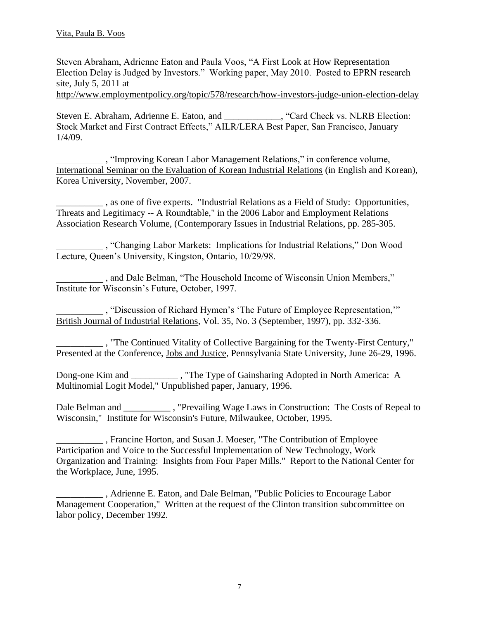Steven Abraham, Adrienne Eaton and Paula Voos, "A First Look at How Representation Election Delay is Judged by Investors." Working paper, May 2010. Posted to EPRN research site, July 5, 2011 at

<http://www.employmentpolicy.org/topic/578/research/how-investors-judge-union-election-delay>

Steven E. Abraham, Adrienne E. Eaton, and \_\_\_\_\_\_\_\_\_\_\_\_, "Card Check vs. NLRB Election: Stock Market and First Contract Effects," AILR/LERA Best Paper, San Francisco, January 1/4/09.

\_\_\_\_\_\_\_\_\_\_ , "Improving Korean Labor Management Relations," in conference volume, International Seminar on the Evaluation of Korean Industrial Relations (in English and Korean), Korea University, November, 2007.

\_\_\_\_\_\_\_\_\_\_ , as one of five experts. "Industrial Relations as a Field of Study: Opportunities, Threats and Legitimacy -- A Roundtable," in the 2006 Labor and Employment Relations Association Research Volume, (Contemporary Issues in Industrial Relations, pp. 285-305.

\_\_\_\_\_\_\_\_\_\_ , "Changing Labor Markets: Implications for Industrial Relations," Don Wood Lecture, Queen's University, Kingston, Ontario, 10/29/98.

\_\_\_\_\_\_\_\_\_\_ , and Dale Belman, "The Household Income of Wisconsin Union Members," Institute for Wisconsin's Future, October, 1997.

\_\_\_\_\_\_\_\_\_\_ , "Discussion of Richard Hymen's 'The Future of Employee Representation,'" British Journal of Industrial Relations, Vol. 35, No. 3 (September, 1997), pp. 332-336.

\_\_\_\_\_\_\_\_\_\_ , "The Continued Vitality of Collective Bargaining for the Twenty-First Century," Presented at the Conference, Jobs and Justice, Pennsylvania State University, June 26-29, 1996.

Dong-one Kim and \_\_\_\_\_\_\_\_\_\_ , "The Type of Gainsharing Adopted in North America: A Multinomial Logit Model," Unpublished paper, January, 1996.

Dale Belman and \_\_\_\_\_\_\_\_\_\_\_\_, "Prevailing Wage Laws in Construction: The Costs of Repeal to Wisconsin," Institute for Wisconsin's Future, Milwaukee, October, 1995.

\_\_\_\_\_\_\_\_\_\_ , Francine Horton, and Susan J. Moeser, "The Contribution of Employee Participation and Voice to the Successful Implementation of New Technology, Work Organization and Training: Insights from Four Paper Mills." Report to the National Center for the Workplace, June, 1995.

\_\_\_\_\_\_\_\_\_\_ , Adrienne E. Eaton, and Dale Belman, "Public Policies to Encourage Labor Management Cooperation," Written at the request of the Clinton transition subcommittee on labor policy, December 1992.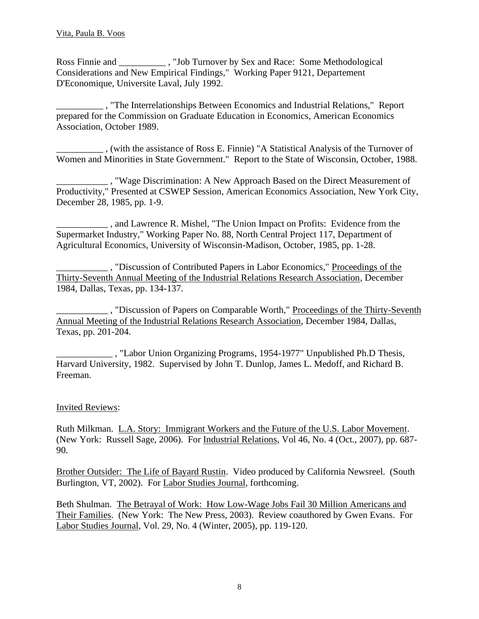Ross Finnie and \_\_\_\_\_\_\_\_\_\_ , "Job Turnover by Sex and Race: Some Methodological Considerations and New Empirical Findings," Working Paper 9121, Departement D'Economique, Universite Laval, July 1992.

\_\_\_\_\_\_\_\_\_\_ , "The Interrelationships Between Economics and Industrial Relations," Report prepared for the Commission on Graduate Education in Economics, American Economics Association, October 1989.

\_\_\_\_\_\_\_\_\_\_ , (with the assistance of Ross E. Finnie) "A Statistical Analysis of the Turnover of Women and Minorities in State Government." Report to the State of Wisconsin, October, 1988.

\_\_\_\_\_\_\_\_\_\_\_ , "Wage Discrimination: A New Approach Based on the Direct Measurement of Productivity," Presented at CSWEP Session, American Economics Association, New York City, December 28, 1985, pp. 1-9.

\_\_\_\_\_\_\_\_\_\_\_ , and Lawrence R. Mishel, "The Union Impact on Profits: Evidence from the Supermarket Industry," Working Paper No. 88, North Central Project 117, Department of Agricultural Economics, University of Wisconsin-Madison, October, 1985, pp. 1-28.

\_\_\_\_\_\_\_\_\_\_\_ , "Discussion of Contributed Papers in Labor Economics," Proceedings of the Thirty-Seventh Annual Meeting of the Industrial Relations Research Association, December 1984, Dallas, Texas, pp. 134-137.

\_\_\_\_\_\_\_\_\_\_\_ , "Discussion of Papers on Comparable Worth," Proceedings of the Thirty-Seventh Annual Meeting of the Industrial Relations Research Association, December 1984, Dallas, Texas, pp. 201-204.

\_\_\_\_\_\_\_\_\_\_\_\_ , "Labor Union Organizing Programs, 1954-1977" Unpublished Ph.D Thesis, Harvard University, 1982. Supervised by John T. Dunlop, James L. Medoff, and Richard B. Freeman.

# Invited Reviews:

Ruth Milkman. L.A. Story: Immigrant Workers and the Future of the U.S. Labor Movement. (New York: Russell Sage, 2006). For Industrial Relations, Vol 46, No. 4 (Oct., 2007), pp. 687- 90.

Brother Outsider: The Life of Bayard Rustin. Video produced by California Newsreel. (South Burlington, VT, 2002). For Labor Studies Journal, forthcoming.

Beth Shulman. The Betrayal of Work: How Low-Wage Jobs Fail 30 Million Americans and Their Families. (New York: The New Press, 2003). Review coauthored by Gwen Evans. For Labor Studies Journal, Vol. 29, No. 4 (Winter, 2005), pp. 119-120.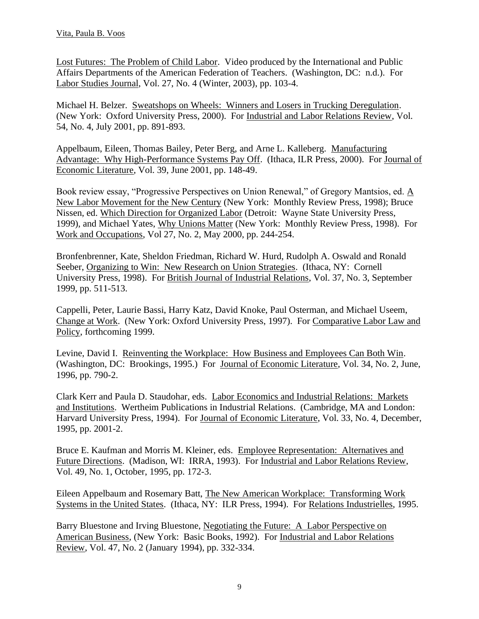Lost Futures: The Problem of Child Labor. Video produced by the International and Public Affairs Departments of the American Federation of Teachers. (Washington, DC: n.d.). For Labor Studies Journal, Vol. 27, No. 4 (Winter, 2003), pp. 103-4.

Michael H. Belzer. Sweatshops on Wheels: Winners and Losers in Trucking Deregulation. (New York: Oxford University Press, 2000). For Industrial and Labor Relations Review, Vol. 54, No. 4, July 2001, pp. 891-893.

Appelbaum, Eileen, Thomas Bailey, Peter Berg, and Arne L. Kalleberg. Manufacturing Advantage: Why High-Performance Systems Pay Off. (Ithaca, ILR Press, 2000). For Journal of Economic Literature, Vol. 39, June 2001, pp. 148-49.

Book review essay, "Progressive Perspectives on Union Renewal," of Gregory Mantsios, ed. A New Labor Movement for the New Century (New York: Monthly Review Press, 1998); Bruce Nissen, ed. Which Direction for Organized Labor (Detroit: Wayne State University Press, 1999), and Michael Yates, Why Unions Matter (New York: Monthly Review Press, 1998). For Work and Occupations, Vol 27, No. 2, May 2000, pp. 244-254.

Bronfenbrenner, Kate, Sheldon Friedman, Richard W. Hurd, Rudolph A. Oswald and Ronald Seeber, Organizing to Win: New Research on Union Strategies. (Ithaca, NY: Cornell University Press, 1998). For British Journal of Industrial Relations, Vol. 37, No. 3, September 1999, pp. 511-513.

Cappelli, Peter, Laurie Bassi, Harry Katz, David Knoke, Paul Osterman, and Michael Useem, Change at Work. (New York: Oxford University Press, 1997). For Comparative Labor Law and Policy, forthcoming 1999.

Levine, David I. Reinventing the Workplace: How Business and Employees Can Both Win. (Washington, DC: Brookings, 1995.) For Journal of Economic Literature, Vol. 34, No. 2, June, 1996, pp. 790-2.

Clark Kerr and Paula D. Staudohar, eds. Labor Economics and Industrial Relations: Markets and Institutions. Wertheim Publications in Industrial Relations. (Cambridge, MA and London: Harvard University Press, 1994). For Journal of Economic Literature, Vol. 33, No. 4, December, 1995, pp. 2001-2.

Bruce E. Kaufman and Morris M. Kleiner, eds. Employee Representation: Alternatives and Future Directions. (Madison, WI: IRRA, 1993). For Industrial and Labor Relations Review, Vol. 49, No. 1, October, 1995, pp. 172-3.

Eileen Appelbaum and Rosemary Batt, The New American Workplace: Transforming Work Systems in the United States. (Ithaca, NY: ILR Press, 1994). For Relations Industrielles, 1995.

Barry Bluestone and Irving Bluestone, Negotiating the Future: A Labor Perspective on American Business, (New York: Basic Books, 1992). For Industrial and Labor Relations Review, Vol. 47, No. 2 (January 1994), pp. 332-334.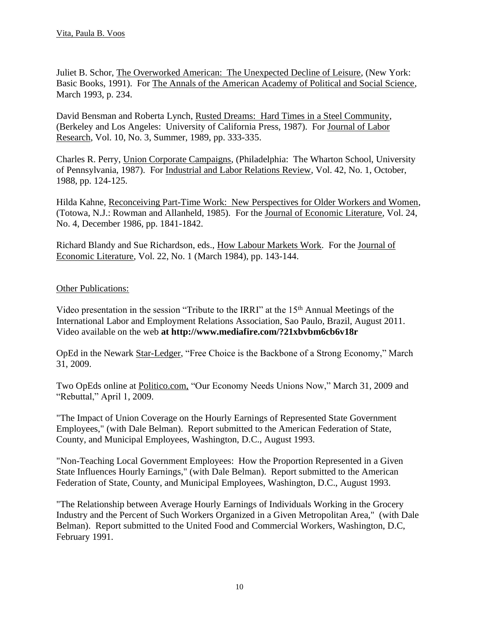Juliet B. Schor, The Overworked American: The Unexpected Decline of Leisure, (New York: Basic Books, 1991). For The Annals of the American Academy of Political and Social Science, March 1993, p. 234.

David Bensman and Roberta Lynch, Rusted Dreams: Hard Times in a Steel Community, (Berkeley and Los Angeles: University of California Press, 1987). For Journal of Labor Research, Vol. 10, No. 3, Summer, 1989, pp. 333-335.

Charles R. Perry, Union Corporate Campaigns, (Philadelphia: The Wharton School, University of Pennsylvania, 1987). For Industrial and Labor Relations Review, Vol. 42, No. 1, October, 1988, pp. 124-125.

Hilda Kahne, Reconceiving Part-Time Work: New Perspectives for Older Workers and Women, (Totowa, N.J.: Rowman and Allanheld, 1985). For the Journal of Economic Literature, Vol. 24, No. 4, December 1986, pp. 1841-1842.

Richard Blandy and Sue Richardson, eds., How Labour Markets Work. For the Journal of Economic Literature, Vol. 22, No. 1 (March 1984), pp. 143-144.

## Other Publications:

Video presentation in the session "Tribute to the IRRI" at the 15th Annual Meetings of the International Labor and Employment Relations Association, Sao Paulo, Brazil, August 2011. Video available on the web **at http://www.mediafire.com/?21xbvbm6cb6v18r**

OpEd in the Newark Star-Ledger, "Free Choice is the Backbone of a Strong Economy," March 31, 2009.

Two OpEds online at Politico.com, "Our Economy Needs Unions Now," March 31, 2009 and "Rebuttal," April 1, 2009.

"The Impact of Union Coverage on the Hourly Earnings of Represented State Government Employees," (with Dale Belman). Report submitted to the American Federation of State, County, and Municipal Employees, Washington, D.C., August 1993.

"Non-Teaching Local Government Employees: How the Proportion Represented in a Given State Influences Hourly Earnings," (with Dale Belman). Report submitted to the American Federation of State, County, and Municipal Employees, Washington, D.C., August 1993.

"The Relationship between Average Hourly Earnings of Individuals Working in the Grocery Industry and the Percent of Such Workers Organized in a Given Metropolitan Area," (with Dale Belman). Report submitted to the United Food and Commercial Workers, Washington, D.C, February 1991.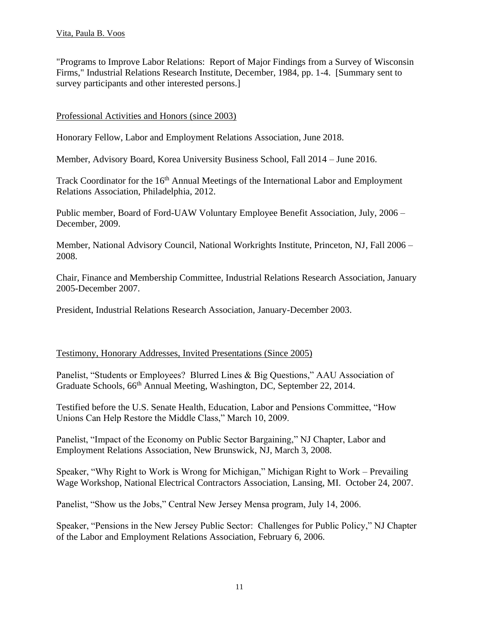"Programs to Improve Labor Relations: Report of Major Findings from a Survey of Wisconsin Firms," Industrial Relations Research Institute, December, 1984, pp. 1-4. [Summary sent to survey participants and other interested persons.]

## Professional Activities and Honors (since 2003)

Honorary Fellow, Labor and Employment Relations Association, June 2018.

Member, Advisory Board, Korea University Business School, Fall 2014 – June 2016.

Track Coordinator for the 16<sup>th</sup> Annual Meetings of the International Labor and Employment Relations Association, Philadelphia, 2012.

Public member, Board of Ford-UAW Voluntary Employee Benefit Association, July, 2006 – December, 2009.

Member, National Advisory Council, National Workrights Institute, Princeton, NJ, Fall 2006 – 2008.

Chair, Finance and Membership Committee, Industrial Relations Research Association, January 2005-December 2007.

President, Industrial Relations Research Association, January-December 2003.

### Testimony, Honorary Addresses, Invited Presentations (Since 2005)

Panelist, "Students or Employees? Blurred Lines & Big Questions," AAU Association of Graduate Schools, 66th Annual Meeting, Washington, DC, September 22, 2014.

Testified before the U.S. Senate Health, Education, Labor and Pensions Committee, "How Unions Can Help Restore the Middle Class," March 10, 2009.

Panelist, "Impact of the Economy on Public Sector Bargaining," NJ Chapter, Labor and Employment Relations Association, New Brunswick, NJ, March 3, 2008.

Speaker, "Why Right to Work is Wrong for Michigan," Michigan Right to Work – Prevailing Wage Workshop, National Electrical Contractors Association, Lansing, MI. October 24, 2007.

Panelist, "Show us the Jobs," Central New Jersey Mensa program, July 14, 2006.

Speaker, "Pensions in the New Jersey Public Sector: Challenges for Public Policy," NJ Chapter of the Labor and Employment Relations Association, February 6, 2006.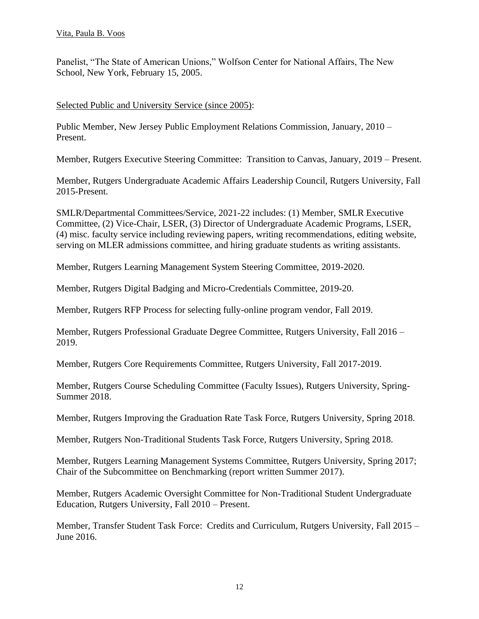Panelist, "The State of American Unions," Wolfson Center for National Affairs, The New School, New York, February 15, 2005.

### Selected Public and University Service (since 2005):

Public Member, New Jersey Public Employment Relations Commission, January, 2010 – Present.

Member, Rutgers Executive Steering Committee: Transition to Canvas, January, 2019 – Present.

Member, Rutgers Undergraduate Academic Affairs Leadership Council, Rutgers University, Fall 2015-Present.

SMLR/Departmental Committees/Service, 2021-22 includes: (1) Member, SMLR Executive Committee, (2) Vice-Chair, LSER, (3) Director of Undergraduate Academic Programs, LSER, (4) misc. faculty service including reviewing papers, writing recommendations, editing website, serving on MLER admissions committee, and hiring graduate students as writing assistants.

Member, Rutgers Learning Management System Steering Committee, 2019-2020.

Member, Rutgers Digital Badging and Micro-Credentials Committee, 2019-20.

Member, Rutgers RFP Process for selecting fully-online program vendor, Fall 2019.

Member, Rutgers Professional Graduate Degree Committee, Rutgers University, Fall 2016 – 2019.

Member, Rutgers Core Requirements Committee, Rutgers University, Fall 2017-2019.

Member, Rutgers Course Scheduling Committee (Faculty Issues), Rutgers University, Spring-Summer 2018.

Member, Rutgers Improving the Graduation Rate Task Force, Rutgers University, Spring 2018.

Member, Rutgers Non-Traditional Students Task Force, Rutgers University, Spring 2018.

Member, Rutgers Learning Management Systems Committee, Rutgers University, Spring 2017; Chair of the Subcommittee on Benchmarking (report written Summer 2017).

Member, Rutgers Academic Oversight Committee for Non-Traditional Student Undergraduate Education, Rutgers University, Fall 2010 – Present.

Member, Transfer Student Task Force: Credits and Curriculum, Rutgers University, Fall 2015 – June 2016.